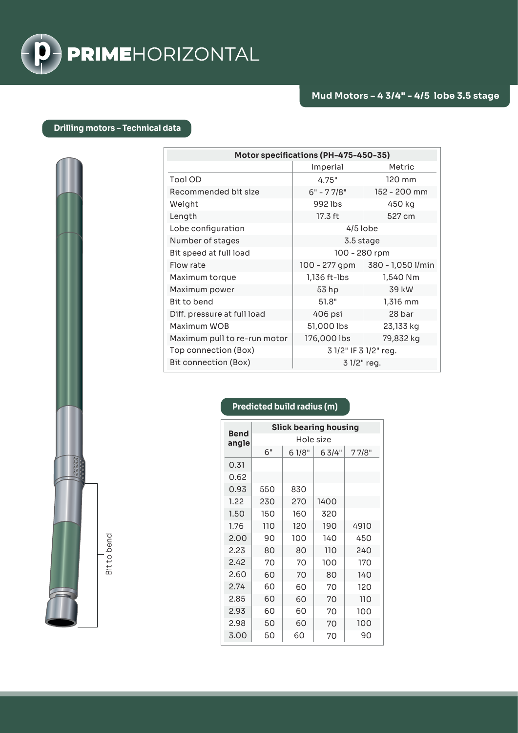

## **Drilling motors – Technical data**

| Motor specifications (PH-475-450-35) |                       |                   |  |  |  |  |
|--------------------------------------|-----------------------|-------------------|--|--|--|--|
|                                      | Imperial              | Metric            |  |  |  |  |
| Tool OD                              | 4.75"                 | 120 mm            |  |  |  |  |
| Recommended bit size                 | $6" - 77/8"$          | 152 - 200 mm      |  |  |  |  |
| Weight                               | 992 lbs               | 450 kg            |  |  |  |  |
| Length                               | 17.3 ft               | 527 cm            |  |  |  |  |
| Lobe configuration                   | $4/5$ lobe            |                   |  |  |  |  |
| Number of stages                     | 3.5 stage             |                   |  |  |  |  |
| Bit speed at full load               | 100 - 280 rpm         |                   |  |  |  |  |
| Flow rate                            | 100 - 277 gpm         | 380 - 1,050 l/min |  |  |  |  |
| Maximum torque                       | 1,136 ft-lbs          | 1,540 Nm          |  |  |  |  |
| Maximum power                        | 53 hp                 | 39 kW             |  |  |  |  |
| Bit to bend                          | 51.8"                 | 1,316 mm          |  |  |  |  |
| Diff. pressure at full load          | 406 psi               | 28 bar            |  |  |  |  |
| Maximum WOB                          | 51,000 lbs            | 23,133 kg         |  |  |  |  |
| Maximum pull to re-run motor         | 176,000 lbs           | 79,832 kg         |  |  |  |  |
| Top connection (Box)                 | 3 1/2" IF 3 1/2" reg. |                   |  |  |  |  |
| Bit connection (Box)                 | 3 1/2" reg.           |                   |  |  |  |  |

Bit to bend Bit to bend

## **Predicted build radius (m)**

| <b>Bend</b> | <b>Slick bearing housing</b> |       |       |       |  |
|-------------|------------------------------|-------|-------|-------|--|
| angle       | Hole size                    |       |       |       |  |
|             | 6"                           | 61/8" | 63/4" | 77/8" |  |
| 0.31        |                              |       |       |       |  |
| 0.62        |                              |       |       |       |  |
| 0.93        | 550                          | 830   |       |       |  |
| 1.22        | 230                          | 270   | 1400  |       |  |
| 1.50        | 150                          | 160   | 320   |       |  |
| 1.76        | 110                          | 120   | 190   | 4910  |  |
| 2.00        | 90                           | 100   | 140   | 450   |  |
| 2.23        | 80                           | 80    | 110   | 240   |  |
| 2.42        | 70                           | 70    | 100   | 170   |  |
| 2.60        | 60                           | 70    | 80    | 140   |  |
| 2.74        | 60                           | 60    | 70    | 120   |  |
| 2.85        | 60                           | 60    | 70    | 110   |  |
| 2.93        | 60                           | 60    | 70    | 100   |  |
| 2.98        | 50                           | 60    | 70    | 100   |  |
| 3.00        | 50                           | 60    | 70    | 90    |  |